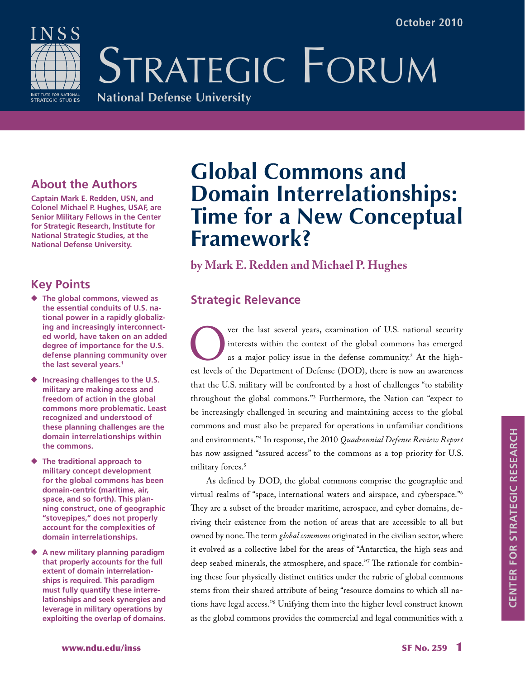NSS INSTITUTE FOR NATIONAL<br>STRATEGIC STUDIES

STRATEGIC FORUM **National Defense University**

### **About the Authors**

**Captain Mark E. Redden, USN, and Colonel Michael P. Hughes, USAF, are Senior Military Fellows in the Center for Strategic Research, Institute for National Strategic Studies, at the National Defense University.**

## **Key Points**

- ◆ **The global commons, viewed as the essential conduits of U.S. national power in a rapidly globalizing and increasingly interconnected world, have taken on an added degree of importance for the U.S. defense planning community over the last several years.1**
- ◆ **Increasing challenges to the U.S. military are making access and freedom of action in the global commons more problematic. Least recognized and understood of these planning challenges are the domain interrelationships within the commons.**
- ◆ **The traditional approach to military concept development for the global commons has been domain-centric (maritime, air, space, and so forth). This planning construct, one of geographic "stovepipes," does not properly account for the complexities of domain interrelationships.**
- ◆ A new military planning paradigm **that properly accounts for the full extent of domain interrelationships is required. This paradigm must fully quantify these interrelationships and seek synergies and leverage in military operations by exploiting the overlap of domains.**

## **Global Commons and Domain Interrelationships: Time for a New Conceptual Framework?**

**by Mark E. Redden and Michael P. Hughes**

## **Strategic Relevance**

The last several years, examination of U.S. national security<br>interests within the context of the global commons has emerged<br>as a major policy issue in the defense community.<sup>2</sup> At the high-<br>est levels of the Department of interests within the context of the global commons has emerged as a major policy issue in the defense community. $^2$  At the highest levels of the Department of Defense (DOD), there is now an awareness that the U.S. military will be confronted by a host of challenges "to stability throughout the global commons."3 Furthermore, the Nation can "expect to be increasingly challenged in securing and maintaining access to the global commons and must also be prepared for operations in unfamiliar conditions and environments."4 In response, the 2010 *Quadrennial Defense Review Report* has now assigned "assured access" to the commons as a top priority for U.S. military forces.5

As defined by DOD, the global commons comprise the geographic and virtual realms of "space, international waters and airspace, and cyberspace."6 They are a subset of the broader maritime, aerospace, and cyber domains, deriving their existence from the notion of areas that are accessible to all but owned by none. The term *global commons* originated in the civilian sector, where it evolved as a collective label for the areas of "Antarctica, the high seas and deep seabed minerals, the atmosphere, and space."7 The rationale for combining these four physically distinct entities under the rubric of global commons stems from their shared attribute of being "resource domains to which all nations have legal access."8 Unifying them into the higher level construct known as the global commons provides the commercial and legal communities with a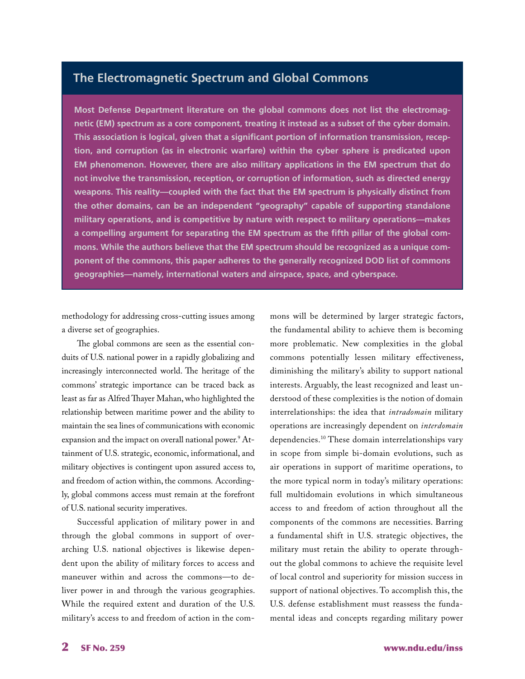#### **The Electromagnetic Spectrum and Global Commons**

**Most Defense Department literature on the global commons does not list the electromagnetic (EM) spectrum as a core component, treating it instead as a subset of the cyber domain. This association is logical, given that a significant portion of information transmission, reception, and corruption (as in electronic warfare) within the cyber sphere is predicated upon EM phenomenon. However, there are also military applications in the EM spectrum that do not involve the transmission, reception, or corruption of information, such as directed energy weapons. This reality—coupled with the fact that the EM spectrum is physically distinct from the other domains, can be an independent "geography" capable of supporting standalone military operations, and is competitive by nature with respect to military operations—makes a compelling argument for separating the EM spectrum as the fifth pillar of the global commons. While the authors believe that the EM spectrum should be recognized as a unique component of the commons, this paper adheres to the generally recognized DOD list of commons geographies—namely, international waters and airspace, space, and cyberspace.**

methodology for addressing cross-cutting issues among a diverse set of geographies.

The global commons are seen as the essential conduits of U.S. national power in a rapidly globalizing and increasingly interconnected world. The heritage of the commons' strategic importance can be traced back as least as far as Alfred Thayer Mahan, who highlighted the relationship between maritime power and the ability to maintain the sea lines of communications with economic expansion and the impact on overall national power.<sup>9</sup> Attainment of U.S. strategic, economic, informational, and military objectives is contingent upon assured access to, and freedom of action within, the commons*.* Accordingly, global commons access must remain at the forefront of U.S. national security imperatives.

Successful application of military power in and through the global commons in support of overarching U.S. national objectives is likewise dependent upon the ability of military forces to access and maneuver within and across the commons—to deliver power in and through the various geographies. While the required extent and duration of the U.S. military's access to and freedom of action in the commons will be determined by larger strategic factors, the fundamental ability to achieve them is becoming more problematic. New complexities in the global commons potentially lessen military effectiveness, diminishing the military's ability to support national interests. Arguably, the least recognized and least understood of these complexities is the notion of domain interrelationships: the idea that *intradomain* military operations are increasingly dependent on *interdomain* dependencies.10 These domain interrelationships vary in scope from simple bi-domain evolutions, such as air operations in support of maritime operations, to the more typical norm in today's military operations: full multidomain evolutions in which simultaneous access to and freedom of action throughout all the components of the commons are necessities. Barring a fundamental shift in U.S. strategic objectives, the military must retain the ability to operate throughout the global commons to achieve the requisite level of local control and superiority for mission success in support of national objectives. To accomplish this, the U.S. defense establishment must reassess the fundamental ideas and concepts regarding military power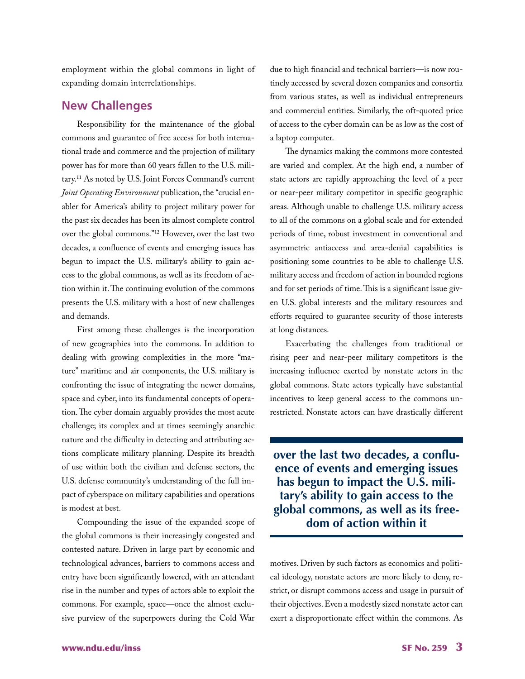employment within the global commons in light of expanding domain interrelationships.

#### **New Challenges**

Responsibility for the maintenance of the global commons and guarantee of free access for both international trade and commerce and the projection of military power has for more than 60 years fallen to the U.S. military.11 As noted by U.S. Joint Forces Command's current *Joint Operating Environment* publication, the "crucial enabler for America's ability to project military power for the past six decades has been its almost complete control over the global commons."12 However, over the last two decades, a confluence of events and emerging issues has begun to impact the U.S. military's ability to gain access to the global commons, as well as its freedom of action within it. The continuing evolution of the commons presents the U.S. military with a host of new challenges and demands.

First among these challenges is the incorporation of new geographies into the commons. In addition to dealing with growing complexities in the more "mature" maritime and air components, the U.S. military is confronting the issue of integrating the newer domains, space and cyber, into its fundamental concepts of operation. The cyber domain arguably provides the most acute challenge; its complex and at times seemingly anarchic nature and the difficulty in detecting and attributing actions complicate military planning. Despite its breadth of use within both the civilian and defense sectors, the U.S. defense community's understanding of the full impact of cyberspace on military capabilities and operations is modest at best.

Compounding the issue of the expanded scope of the global commons is their increasingly congested and contested nature. Driven in large part by economic and technological advances, barriers to commons access and entry have been significantly lowered, with an attendant rise in the number and types of actors able to exploit the commons. For example, space—once the almost exclusive purview of the superpowers during the Cold War

due to high financial and technical barriers—is now routinely accessed by several dozen companies and consortia from various states, as well as individual entrepreneurs and commercial entities. Similarly, the oft-quoted price of access to the cyber domain can be as low as the cost of a laptop computer.

The dynamics making the commons more contested are varied and complex. At the high end, a number of state actors are rapidly approaching the level of a peer or near-peer military competitor in specific geographic areas. Although unable to challenge U.S. military access to all of the commons on a global scale and for extended periods of time, robust investment in conventional and asymmetric antiaccess and area-denial capabilities is positioning some countries to be able to challenge U.S. military access and freedom of action in bounded regions and for set periods of time. This is a significant issue given U.S. global interests and the military resources and efforts required to guarantee security of those interests at long distances.

Exacerbating the challenges from traditional or rising peer and near-peer military competitors is the increasing influence exerted by nonstate actors in the global commons. State actors typically have substantial incentives to keep general access to the commons unrestricted. Nonstate actors can have drastically different

**over the last two decades, a confluence of events and emerging issues has begun to impact the U.S. military's ability to gain access to the global commons, as well as its freedom of action within it**

motives. Driven by such factors as economics and political ideology, nonstate actors are more likely to deny, restrict, or disrupt commons access and usage in pursuit of their objectives. Even a modestly sized nonstate actor can exert a disproportionate effect within the commons*.* As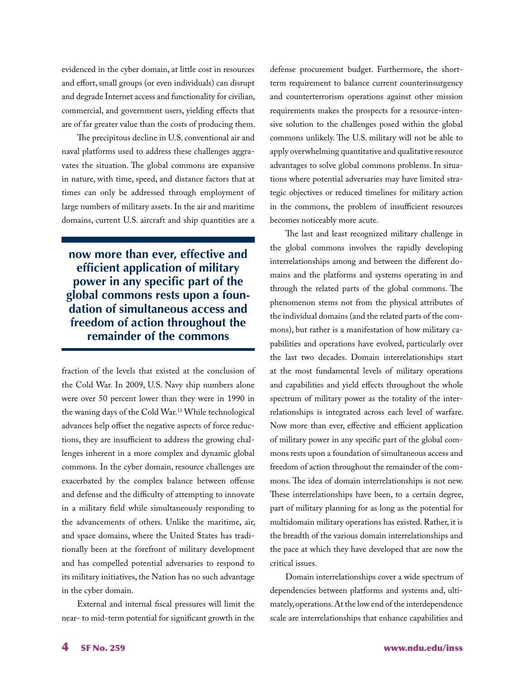evidenced in the cyber domain, at little cost in resources and effort, small groups (or even individuals) can disrupt and degrade Internet access and functionality for civilian, commercial, and government users, yielding effects that are of far greater value than the costs of producing them.

The precipitous decline in U.S. conventional air and naval platforms used to address these challenges aggravates the situation. The global commons are expansive in nature, with time, speed, and distance factors that at times can only be addressed through employment of large numbers of military assets. In the air and maritime domains, current U.S. aircraft and ship quantities are a

**now more than ever, effective and efficient application of military power in any specific part of the global commons rests upon a foundation of simultaneous access and freedom of action throughout the remainder of the commons**

fraction of the levels that existed at the conclusion of the Cold War. In 2009, U.S. Navy ship numbers alone were over 50 percent lower than they were in 1990 in the waning days of the Cold War.13 While technological advances help offset the negative aspects of force reductions, they are insufficient to address the growing challenges inherent in a more complex and dynamic global commons*.* In the cyber domain, resource challenges are exacerbated by the complex balance between offense and defense and the difficulty of attempting to innovate in a military field while simultaneously responding to the advancements of others. Unlike the maritime, air, and space domains, where the United States has traditionally been at the forefront of military development and has compelled potential adversaries to respond to its military initiatives, the Nation has no such advantage in the cyber domain.

External and internal fiscal pressures will limit the near- to mid-term potential for significant growth in the defense procurement budget. Furthermore, the shortterm requirement to balance current counterinsurgency and counterterrorism operations against other mission requirements makes the prospects for a resource-intensive solution to the challenges posed within the global commons unlikely. The U.S. military will not be able to apply overwhelming quantitative and qualitative resource advantages to solve global commons problems. In situations where potential adversaries may have limited strategic objectives or reduced timelines for military action in the commons, the problem of insufficient resources becomes noticeably more acute.

The last and least recognized military challenge in the global commons involves the rapidly developing interrelationships among and between the different domains and the platforms and systems operating in and through the related parts of the global commons. The phenomenon stems not from the physical attributes of the individual domains (and the related parts of the commons), but rather is a manifestation of how military capabilities and operations have evolved, particularly over the last two decades. Domain interrelationships start at the most fundamental levels of military operations and capabilities and yield effects throughout the whole spectrum of military power as the totality of the interrelationships is integrated across each level of warfare. Now more than ever, effective and efficient application of military power in any specific part of the global commons rests upon a foundation of simultaneous access and freedom of action throughout the remainder of the commons. The idea of domain interrelationships is not new. These interrelationships have been, to a certain degree, part of military planning for as long as the potential for multidomain military operations has existed. Rather, it is the breadth of the various domain interrelationships and the pace at which they have developed that are now the critical issues.

Domain interrelationships cover a wide spectrum of dependencies between platforms and systems and, ultimately, operations. At the low end of the interdependence scale are interrelationships that enhance capabilities and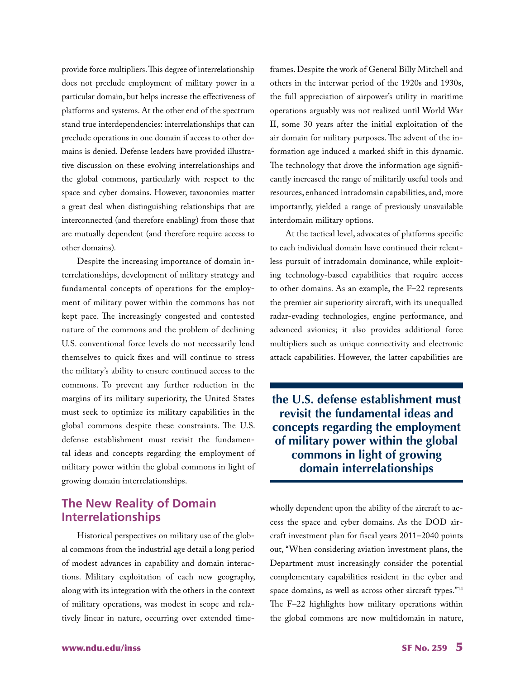provide force multipliers. This degree of interrelationship does not preclude employment of military power in a particular domain, but helps increase the effectiveness of platforms and systems. At the other end of the spectrum stand true interdependencies: interrelationships that can preclude operations in one domain if access to other domains is denied. Defense leaders have provided illustrative discussion on these evolving interrelationships and the global commons, particularly with respect to the space and cyber domains. However, taxonomies matter a great deal when distinguishing relationships that are interconnected (and therefore enabling) from those that are mutually dependent (and therefore require access to other domains)*.*

Despite the increasing importance of domain interrelationships, development of military strategy and fundamental concepts of operations for the employment of military power within the commons has not kept pace. The increasingly congested and contested nature of the commons and the problem of declining U.S. conventional force levels do not necessarily lend themselves to quick fixes and will continue to stress the military's ability to ensure continued access to the commons. To prevent any further reduction in the margins of its military superiority, the United States must seek to optimize its military capabilities in the global commons despite these constraints. The U.S. defense establishment must revisit the fundamental ideas and concepts regarding the employment of military power within the global commons in light of growing domain interrelationships.

#### **The New Reality of Domain Interrelationships**

Historical perspectives on military use of the global commons from the industrial age detail a long period of modest advances in capability and domain interactions. Military exploitation of each new geography, along with its integration with the others in the context of military operations, was modest in scope and relatively linear in nature, occurring over extended timeframes. Despite the work of General Billy Mitchell and others in the interwar period of the 1920s and 1930s, the full appreciation of airpower's utility in maritime operations arguably was not realized until World War II, some 30 years after the initial exploitation of the air domain for military purposes. The advent of the information age induced a marked shift in this dynamic. The technology that drove the information age significantly increased the range of militarily useful tools and resources, enhanced intradomain capabilities, and, more importantly, yielded a range of previously unavailable interdomain military options.

At the tactical level, advocates of platforms specific to each individual domain have continued their relentless pursuit of intradomain dominance, while exploiting technology-based capabilities that require access to other domains. As an example, the F–22 represents the premier air superiority aircraft, with its unequalled radar-evading technologies, engine performance, and advanced avionics; it also provides additional force multipliers such as unique connectivity and electronic attack capabilities. However, the latter capabilities are

**the U.S. defense establishment must revisit the fundamental ideas and concepts regarding the employment of military power within the global commons in light of growing domain interrelationships**

wholly dependent upon the ability of the aircraft to access the space and cyber domains. As the DOD aircraft investment plan for fiscal years 2011–2040 points out, "When considering aviation investment plans, the Department must increasingly consider the potential complementary capabilities resident in the cyber and space domains, as well as across other aircraft types."14 The F–22 highlights how military operations within the global commons are now multidomain in nature,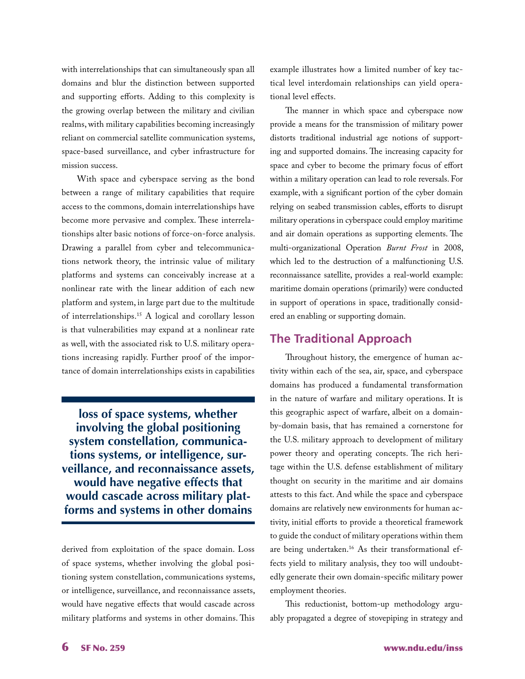with interrelationships that can simultaneously span all domains and blur the distinction between supported and supporting efforts. Adding to this complexity is the growing overlap between the military and civilian realms, with military capabilities becoming increasingly reliant on commercial satellite communication systems, space-based surveillance, and cyber infrastructure for mission success.

With space and cyberspace serving as the bond between a range of military capabilities that require access to the commons, domain interrelationships have become more pervasive and complex. These interrelationships alter basic notions of force-on-force analysis. Drawing a parallel from cyber and telecommunications network theory, the intrinsic value of military platforms and systems can conceivably increase at a nonlinear rate with the linear addition of each new platform and system, in large part due to the multitude of interrelationships.15 A logical and corollary lesson is that vulnerabilities may expand at a nonlinear rate as well, with the associated risk to U.S. military operations increasing rapidly. Further proof of the importance of domain interrelationships exists in capabilities

**loss of space systems, whether involving the global positioning system constellation, communications systems, or intelligence, surveillance, and reconnaissance assets, would have negative effects that would cascade across military platforms and systems in other domains**

derived from exploitation of the space domain. Loss of space systems, whether involving the global positioning system constellation, communications systems, or intelligence, surveillance, and reconnaissance assets, would have negative effects that would cascade across military platforms and systems in other domains. This example illustrates how a limited number of key tactical level interdomain relationships can yield operational level effects.

The manner in which space and cyberspace now provide a means for the transmission of military power distorts traditional industrial age notions of supporting and supported domains. The increasing capacity for space and cyber to become the primary focus of effort within a military operation can lead to role reversals. For example, with a significant portion of the cyber domain relying on seabed transmission cables, efforts to disrupt military operations in cyberspace could employ maritime and air domain operations as supporting elements. The multi-organizational Operation *Burnt Frost* in 2008, which led to the destruction of a malfunctioning U.S. reconnaissance satellite, provides a real-world example: maritime domain operations (primarily) were conducted in support of operations in space, traditionally considered an enabling or supporting domain.

#### **The Traditional Approach**

Throughout history, the emergence of human activity within each of the sea, air, space, and cyberspace domains has produced a fundamental transformation in the nature of warfare and military operations. It is this geographic aspect of warfare, albeit on a domainby-domain basis, that has remained a cornerstone for the U.S. military approach to development of military power theory and operating concepts. The rich heritage within the U.S. defense establishment of military thought on security in the maritime and air domains attests to this fact. And while the space and cyberspace domains are relatively new environments for human activity, initial efforts to provide a theoretical framework to guide the conduct of military operations within them are being undertaken.<sup>16</sup> As their transformational effects yield to military analysis, they too will undoubtedly generate their own domain-specific military power employment theories.

This reductionist, bottom-up methodology arguably propagated a degree of stovepiping in strategy and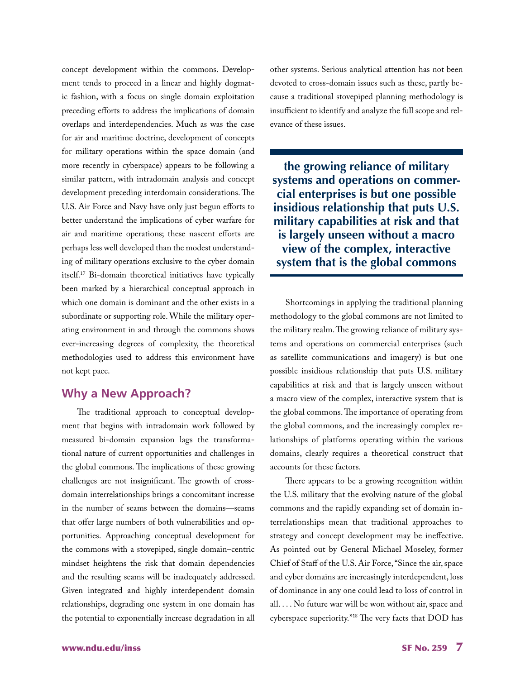concept development within the commons. Development tends to proceed in a linear and highly dogmatic fashion, with a focus on single domain exploitation preceding efforts to address the implications of domain overlaps and interdependencies. Much as was the case for air and maritime doctrine, development of concepts for military operations within the space domain (and more recently in cyberspace) appears to be following a similar pattern, with intradomain analysis and concept development preceding interdomain considerations. The U.S. Air Force and Navy have only just begun efforts to better understand the implications of cyber warfare for air and maritime operations; these nascent efforts are perhaps less well developed than the modest understanding of military operations exclusive to the cyber domain itself.17 Bi-domain theoretical initiatives have typically been marked by a hierarchical conceptual approach in which one domain is dominant and the other exists in a subordinate or supporting role. While the military operating environment in and through the commons shows ever-increasing degrees of complexity, the theoretical methodologies used to address this environment have not kept pace.

#### **Why a New Approach?**

The traditional approach to conceptual development that begins with intradomain work followed by measured bi-domain expansion lags the transformational nature of current opportunities and challenges in the global commons. The implications of these growing challenges are not insignificant. The growth of crossdomain interrelationships brings a concomitant increase in the number of seams between the domains—seams that offer large numbers of both vulnerabilities and opportunities. Approaching conceptual development for the commons with a stovepiped, single domain–centric mindset heightens the risk that domain dependencies and the resulting seams will be inadequately addressed. Given integrated and highly interdependent domain relationships, degrading one system in one domain has the potential to exponentially increase degradation in all other systems. Serious analytical attention has not been devoted to cross-domain issues such as these, partly because a traditional stovepiped planning methodology is insufficient to identify and analyze the full scope and relevance of these issues.

**the growing reliance of military systems and operations on commercial enterprises is but one possible insidious relationship that puts U.S. military capabilities at risk and that is largely unseen without a macro view of the complex, interactive system that is the global commons**

Shortcomings in applying the traditional planning methodology to the global commons are not limited to the military realm. The growing reliance of military systems and operations on commercial enterprises (such as satellite communications and imagery) is but one possible insidious relationship that puts U.S. military capabilities at risk and that is largely unseen without a macro view of the complex, interactive system that is the global commons. The importance of operating from the global commons, and the increasingly complex relationships of platforms operating within the various domains, clearly requires a theoretical construct that accounts for these factors.

There appears to be a growing recognition within the U.S. military that the evolving nature of the global commons and the rapidly expanding set of domain interrelationships mean that traditional approaches to strategy and concept development may be ineffective. As pointed out by General Michael Moseley, former Chief of Staff of the U.S. Air Force, "Since the air, space and cyber domains are increasingly interdependent, loss of dominance in any one could lead to loss of control in all. . . . No future war will be won without air, space and cyberspace superiority."18 The very facts that DOD has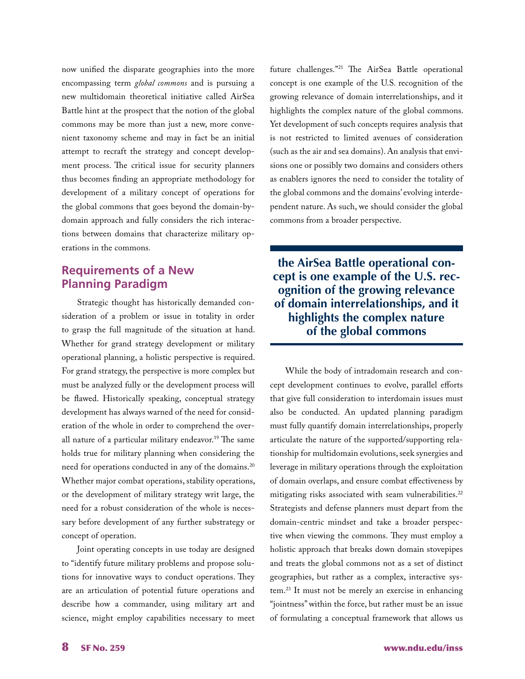now unified the disparate geographies into the more encompassing term *global commons* and is pursuing a new multidomain theoretical initiative called AirSea Battle hint at the prospect that the notion of the global commons may be more than just a new, more convenient taxonomy scheme and may in fact be an initial attempt to recraft the strategy and concept development process. The critical issue for security planners thus becomes finding an appropriate methodology for development of a military concept of operations for the global commons that goes beyond the domain-bydomain approach and fully considers the rich interactions between domains that characterize military operations in the commons*.*

#### **Requirements of a New Planning Paradigm**

Strategic thought has historically demanded consideration of a problem or issue in totality in order to grasp the full magnitude of the situation at hand. Whether for grand strategy development or military operational planning, a holistic perspective is required. For grand strategy, the perspective is more complex but must be analyzed fully or the development process will be flawed. Historically speaking, conceptual strategy development has always warned of the need for consideration of the whole in order to comprehend the overall nature of a particular military endeavor.<sup>19</sup> The same holds true for military planning when considering the need for operations conducted in any of the domains.20 Whether major combat operations, stability operations, or the development of military strategy writ large, the need for a robust consideration of the whole is necessary before development of any further substrategy or concept of operation.

Joint operating concepts in use today are designed to "identify future military problems and propose solutions for innovative ways to conduct operations. They are an articulation of potential future operations and describe how a commander, using military art and science, might employ capabilities necessary to meet future challenges."21 The AirSea Battle operational concept is one example of the U.S. recognition of the growing relevance of domain interrelationships, and it highlights the complex nature of the global commons. Yet development of such concepts requires analysis that is not restricted to limited avenues of consideration (such as the air and sea domains). An analysis that envisions one or possibly two domains and considers others as enablers ignores the need to consider the totality of the global commons and the domains' evolving interdependent nature. As such, we should consider the global commons from a broader perspective.

**the AirSea Battle operational concept is one example of the U.S. recognition of the growing relevance of domain interrelationships, and it highlights the complex nature of the global commons** 

While the body of intradomain research and concept development continues to evolve, parallel efforts that give full consideration to interdomain issues must also be conducted. An updated planning paradigm must fully quantify domain interrelationships, properly articulate the nature of the supported/supporting relationship for multidomain evolutions, seek synergies and leverage in military operations through the exploitation of domain overlaps, and ensure combat effectiveness by mitigating risks associated with seam vulnerabilities.<sup>22</sup> Strategists and defense planners must depart from the domain-centric mindset and take a broader perspective when viewing the commons. They must employ a holistic approach that breaks down domain stovepipes and treats the global commons not as a set of distinct geographies, but rather as a complex, interactive system.23 It must not be merely an exercise in enhancing "jointness" within the force, but rather must be an issue of formulating a conceptual framework that allows us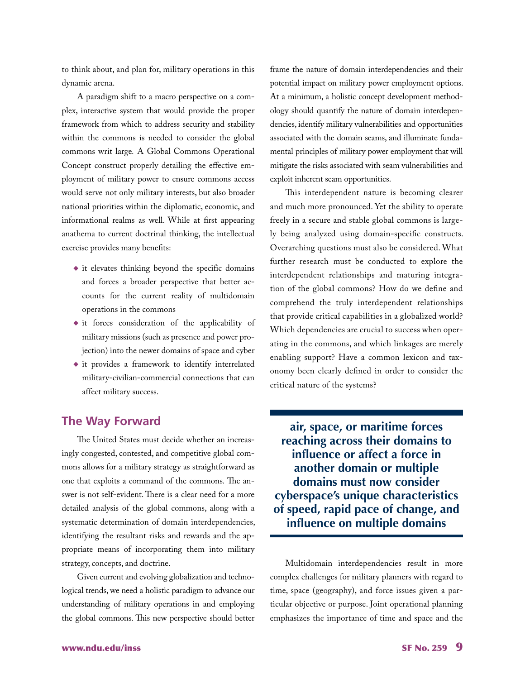to think about, and plan for, military operations in this dynamic arena.

A paradigm shift to a macro perspective on a complex, interactive system that would provide the proper framework from which to address security and stability within the commons is needed to consider the global commons writ large*.* A Global Commons Operational Concept construct properly detailing the effective employment of military power to ensure commons access would serve not only military interests, but also broader national priorities within the diplomatic, economic, and informational realms as well. While at first appearing anathema to current doctrinal thinking, the intellectual exercise provides many benefits:

- ◆ it elevates thinking beyond the specific domains and forces a broader perspective that better accounts for the current reality of multidomain operations in the commons
- ◆ it forces consideration of the applicability of military missions (such as presence and power projection) into the newer domains of space and cyber
- ◆ it provides a framework to identify interrelated military-civilian-commercial connections that can affect military success.

#### **The Way Forward**

The United States must decide whether an increasingly congested, contested, and competitive global commons allows for a military strategy as straightforward as one that exploits a command of the commons*.* The answer is not self-evident. There is a clear need for a more detailed analysis of the global commons, along with a systematic determination of domain interdependencies, identifying the resultant risks and rewards and the appropriate means of incorporating them into military strategy, concepts, and doctrine.

Given current and evolving globalization and technological trends, we need a holistic paradigm to advance our understanding of military operations in and employing the global commons. This new perspective should better frame the nature of domain interdependencies and their potential impact on military power employment options. At a minimum, a holistic concept development methodology should quantify the nature of domain interdependencies, identify military vulnerabilities and opportunities associated with the domain seams, and illuminate fundamental principles of military power employment that will mitigate the risks associated with seam vulnerabilities and exploit inherent seam opportunities.

This interdependent nature is becoming clearer and much more pronounced. Yet the ability to operate freely in a secure and stable global commons is largely being analyzed using domain-specific constructs. Overarching questions must also be considered. What further research must be conducted to explore the interdependent relationships and maturing integration of the global commons? How do we define and comprehend the truly interdependent relationships that provide critical capabilities in a globalized world? Which dependencies are crucial to success when operating in the commons, and which linkages are merely enabling support? Have a common lexicon and taxonomy been clearly defined in order to consider the critical nature of the systems?

**air, space, or maritime forces reaching across their domains to influence or affect a force in another domain or multiple domains must now consider cyberspace's unique characteristics of speed, rapid pace of change, and influence on multiple domains**

Multidomain interdependencies result in more complex challenges for military planners with regard to time, space (geography), and force issues given a particular objective or purpose. Joint operational planning emphasizes the importance of time and space and the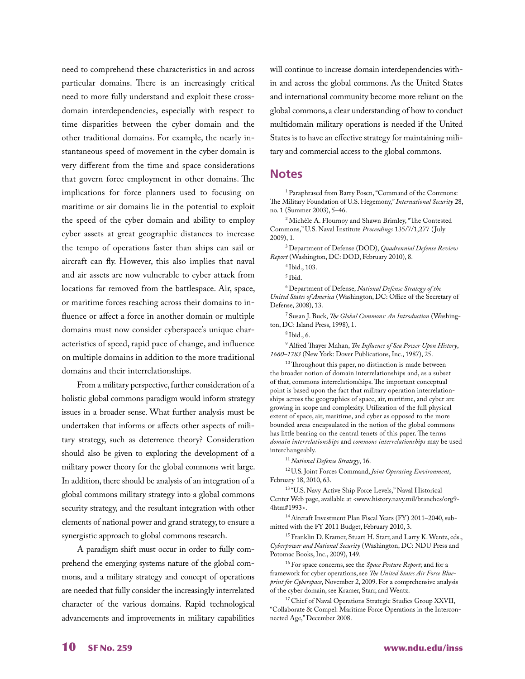need to comprehend these characteristics in and across particular domains. There is an increasingly critical need to more fully understand and exploit these crossdomain interdependencies, especially with respect to time disparities between the cyber domain and the other traditional domains. For example, the nearly instantaneous speed of movement in the cyber domain is very different from the time and space considerations that govern force employment in other domains. The implications for force planners used to focusing on maritime or air domains lie in the potential to exploit the speed of the cyber domain and ability to employ cyber assets at great geographic distances to increase the tempo of operations faster than ships can sail or aircraft can fly. However, this also implies that naval and air assets are now vulnerable to cyber attack from locations far removed from the battlespace. Air, space, or maritime forces reaching across their domains to influence or affect a force in another domain or multiple domains must now consider cyberspace's unique characteristics of speed, rapid pace of change, and influence on multiple domains in addition to the more traditional domains and their interrelationships.

From a military perspective, further consideration of a holistic global commons paradigm would inform strategy issues in a broader sense. What further analysis must be undertaken that informs or affects other aspects of military strategy, such as deterrence theory? Consideration should also be given to exploring the development of a military power theory for the global commons writ large. In addition, there should be analysis of an integration of a global commons military strategy into a global commons security strategy, and the resultant integration with other elements of national power and grand strategy, to ensure a synergistic approach to global commons research.

A paradigm shift must occur in order to fully comprehend the emerging systems nature of the global commons, and a military strategy and concept of operations are needed that fully consider the increasingly interrelated character of the various domains. Rapid technological advancements and improvements in military capabilities will continue to increase domain interdependencies within and across the global commons. As the United States and international community become more reliant on the global commons, a clear understanding of how to conduct multidomain military operations is needed if the United States is to have an effective strategy for maintaining military and commercial access to the global commons.

#### **Notes**

<sup>1</sup> Paraphrased from Barry Posen, "Command of the Commons: The Military Foundation of U.S. Hegemony," *International Security* 28, no. 1 (Summer 2003), 5–46.

2 Michèle A. Flournoy and Shawn Brimley, "The Contested Commons," U.S. Naval Institute *Proceedings* 135/7/1,277 ( July 2009), 1.

3 Department of Defense (DOD), *Quadrennial Defense Review Report* (Washington, DC: DOD, February 2010), 8.

4 Ibid., 103.

 $^5\!$  Ibid.

6 Department of Defense, *National Defense Strategy of the United States of America* (Washington, DC: Office of the Secretary of Defense, 2008), 13.

7 Susan J. Buck, *The Global Commons: An Introduction* (Washington, DC: Island Press, 1998), 1.

 $8$  Ibid., 6.

9 Alfred Thayer Mahan, *The Influence of Sea Power Upon History*, *1660–1783* (New York: Dover Publications, Inc., 1987), 25.

<sup>10</sup> Throughout this paper, no distinction is made between the broader notion of domain interrelationships and, as a subset of that, commons interrelationships. The important conceptual point is based upon the fact that military operation interrelationships across the geographies of space, air, maritime, and cyber are growing in scope and complexity. Utilization of the full physical extent of space, air, maritime, and cyber as opposed to the more bounded areas encapsulated in the notion of the global commons has little bearing on the central tenets of this paper. The terms *domain interrelationships* and *commons interrelationships* may be used interchangeably.

<sup>11</sup>*National Defense Strategy*, 16.

12 U.S. Joint Forces Command, *Joint Operating Environment*, February 18, 2010, 63.

13 "U.S. Navy Active Ship Force Levels," Naval Historical Center Web page, available at <www.history.navy.mil/branches/org9- 4htm#1993>.

14 Aircraft Investment Plan Fiscal Years (FY) 2011–2040, submitted with the FY 2011 Budget, February 2010, 3.

15 Franklin D. Kramer, Stuart H. Starr, and Larry K. Wentz, eds., *Cyberpower and National Security* (Washington, DC: NDU Press and Potomac Books, Inc., 2009), 149.

16 For space concerns, see the *Space Posture Report*; and for a framework for cyber operations, see *The United States Air Force Blueprint for Cyberspace*, November 2, 2009. For a comprehensive analysis of the cyber domain, see Kramer, Starr, and Wentz.

<sup>17</sup> Chief of Naval Operations Strategic Studies Group XXVII, "Collaborate & Compel: Maritime Force Operations in the Interconnected Age," December 2008.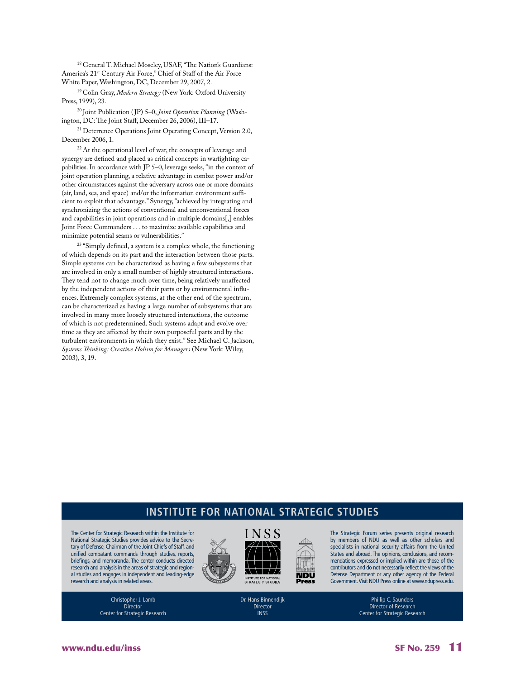18 General T. Michael Moseley, USAF, "The Nation's Guardians: America's 21<sup>st</sup> Century Air Force," Chief of Staff of the Air Force White Paper, Washington, DC, December 29, 2007, 2.

19 Colin Gray, *Modern Strategy* (New York: Oxford University Press, 1999), 23.

20 Joint Publication ( JP) 5–0, *Joint Operation Planning* (Washington, DC: The Joint Staff, December 26, 2006), III–17.

<sup>21</sup> Deterrence Operations Joint Operating Concept, Version 2.0, December 2006, 1.

<sup>22</sup> At the operational level of war, the concepts of leverage and synergy are defined and placed as critical concepts in warfighting capabilities. In accordance with JP 5–0, leverage seeks, "in the context of joint operation planning, a relative advantage in combat power and/or other circumstances against the adversary across one or more domains (air, land, sea, and space) and/or the information environment sufficient to exploit that advantage." Synergy, "achieved by integrating and synchronizing the actions of conventional and unconventional forces and capabilities in joint operations and in multiple domains[,] enables Joint Force Commanders . . . to maximize available capabilities and minimize potential seams or vulnerabilities."

<sup>23</sup> "Simply defined, a system is a complex whole, the functioning of which depends on its part and the interaction between those parts. Simple systems can be characterized as having a few subsystems that are involved in only a small number of highly structured interactions. They tend not to change much over time, being relatively unaffected by the independent actions of their parts or by environmental influences. Extremely complex systems, at the other end of the spectrum, can be characterized as having a large number of subsystems that are involved in many more loosely structured interactions, the outcome of which is not predetermined. Such systems adapt and evolve over time as they are affected by their own purposeful parts and by the turbulent environments in which they exist." See Michael C. Jackson, *Systems Thinking: Creative Holism for Managers* (New York: Wiley, 2003), 3, 19.

#### **Institute for National Strategic Studies**

The Center for Strategic Research within the Institute for National Strategic Studies provides advice to the Secretary of Defense, Chairman of the Joint Chiefs of Staff, and unified combatant commands through studies, reports, briefings, and memoranda. The center conducts directed research and analysis in the areas of strategic and regional studies and engages in independent and leading-edge research and analysis in related areas.



The Strategic Forum series presents original research by members of NDU as well as other scholars and specialists in national security affairs from the United States and abroad. The opinions, conclusions, and recommendations expressed or implied within are those of the contributors and do not necessarily reflect the views of the Defense Department or any other agency of the Federal Government. Visit NDU Press online at www.ndupress.edu.

> Phillip C. Saunders Director of Research Center for Strategic Research

Christopher J. Lamb Director Center for Strategic Research Dr. Hans Binnendijk Director INSS